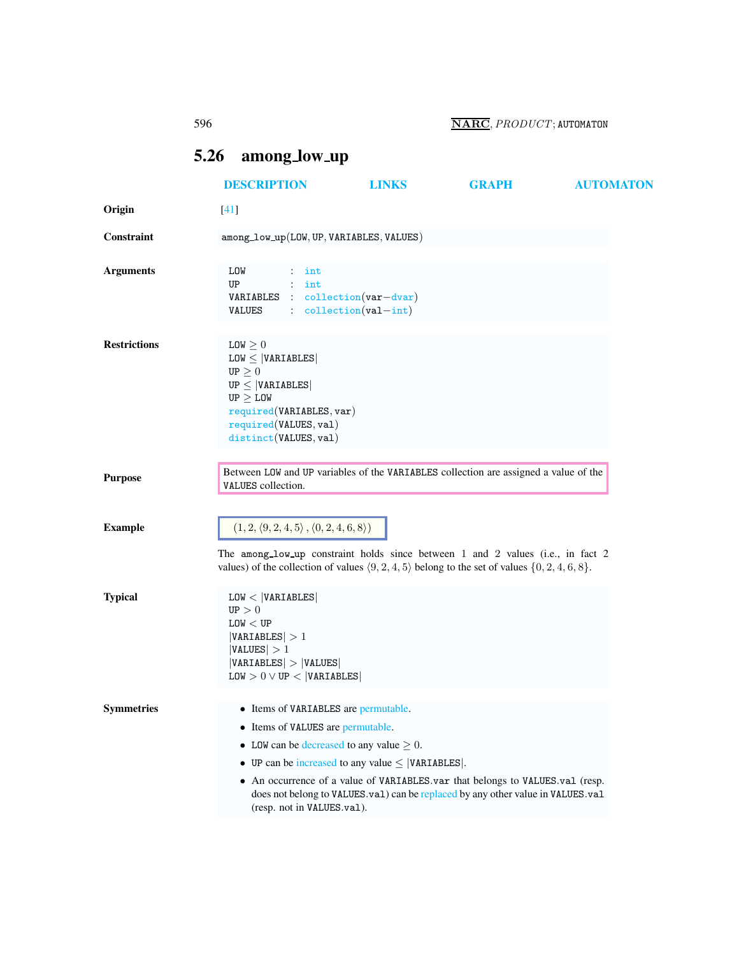596 **NARC**, *PRODUCT*; AUTOMATON

# <span id="page-0-0"></span>5.26 among\_low\_up

|                     | <b>DESCRIPTION</b>                                                                                                                                                                                                                                            | <b>LINKS</b>                     | <b>GRAPH</b>                                                                                                                                                     | <b>AUTOMATON</b> |
|---------------------|---------------------------------------------------------------------------------------------------------------------------------------------------------------------------------------------------------------------------------------------------------------|----------------------------------|------------------------------------------------------------------------------------------------------------------------------------------------------------------|------------------|
| Origin              | $[41]$                                                                                                                                                                                                                                                        |                                  |                                                                                                                                                                  |                  |
| Constraint          | among_low_up(LOW, UP, VARIABLES, VALUES)                                                                                                                                                                                                                      |                                  |                                                                                                                                                                  |                  |
| <b>Arguments</b>    | LOW<br>$:$ int<br>UP<br>$:$ int<br>VARIABLES : collection (var-dvar)<br>VALUES                                                                                                                                                                                | $\therefore$ collection(val-int) |                                                                                                                                                                  |                  |
| <b>Restrictions</b> | $LOW \geq 0$<br>$LOW \leq  VARIABLES $<br>UP > 0<br>$UP \leq  VARIABLES $<br>UP > LOW<br>required(VARIABLES, var)<br>required(VALUES, val)<br>distinct(VALUES, val)                                                                                           |                                  |                                                                                                                                                                  |                  |
| <b>Purpose</b>      | Between LOW and UP variables of the VARIABLES collection are assigned a value of the<br>VALUES collection.                                                                                                                                                    |                                  |                                                                                                                                                                  |                  |
| <b>Example</b>      | $(1, 2, \langle 9, 2, 4, 5 \rangle, \langle 0, 2, 4, 6, 8 \rangle)$<br>The among_low_up constraint holds since between 1 and 2 values (i.e., in fact 2<br>values) of the collection of values $(9, 2, 4, 5)$ belong to the set of values $\{0, 2, 4, 6, 8\}.$ |                                  |                                                                                                                                                                  |                  |
| <b>Typical</b>      | LOW <  VARIABLES <br>UP > 0<br>LOW < UP<br> VARIABLES  > 1<br> VALUES  > 1<br> VARIABLES  >  VALUES <br>$LOW > 0 \vee UP <  VARIABLES $                                                                                                                       |                                  |                                                                                                                                                                  |                  |
| <b>Symmetries</b>   | • Items of VARIABLES are permutable.<br>• Items of VALUES are permutable.<br>• LOW can be decreased to any value $\geq 0$ .<br>• UP can be increased to any value $\leq$  VARIABLES .<br>(resp. not in VALUES.val).                                           |                                  | • An occurrence of a value of VARIABLES var that belongs to VALUES val (resp.<br>does not belong to VALUES.val) can be replaced by any other value in VALUES.val |                  |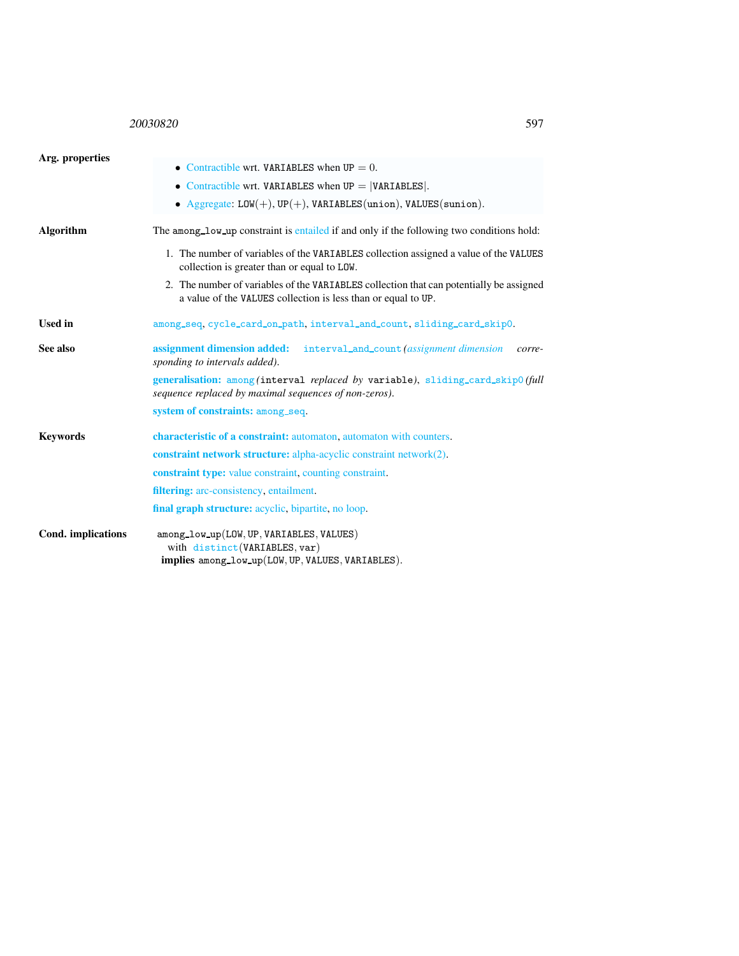## <sup>20030820</sup> 597

<span id="page-1-0"></span>

| Arg. properties    |                                                                                                                                                          |  |  |  |  |
|--------------------|----------------------------------------------------------------------------------------------------------------------------------------------------------|--|--|--|--|
|                    | • Contractible wrt. VARIABLES when $UP = 0$ .                                                                                                            |  |  |  |  |
|                    | • Contractible wrt. VARIABLES when $UP =  VARIABLES $ .                                                                                                  |  |  |  |  |
|                    | • Aggregate: $LOW(+)$ , $UP(+)$ , $VARIABLES(union)$ , $VALUES(union)$ .                                                                                 |  |  |  |  |
| <b>Algorithm</b>   | The among low up constraint is entailed if and only if the following two conditions hold:                                                                |  |  |  |  |
|                    | 1. The number of variables of the VARIABLES collection assigned a value of the VALUES<br>collection is greater than or equal to LOW.                     |  |  |  |  |
|                    | 2. The number of variables of the VARIABLES collection that can potentially be assigned<br>a value of the VALUES collection is less than or equal to UP. |  |  |  |  |
| <b>Used in</b>     | among_seq, cycle_card_on_path, interval_and_count, sliding_card_skip0.                                                                                   |  |  |  |  |
| See also           | assignment dimension added:<br>interval_and_count (assignment dimension<br>corre-<br>sponding to intervals added).                                       |  |  |  |  |
|                    | generalisation: among (interval replaced by variable), sliding_card_skip0(full<br>sequence replaced by maximal sequences of non-zeros).                  |  |  |  |  |
|                    | system of constraints: among_seq.                                                                                                                        |  |  |  |  |
| <b>Keywords</b>    | characteristic of a constraint: automaton, automaton with counters.                                                                                      |  |  |  |  |
|                    | <b>constraint network structure:</b> alpha-acyclic constraint network $(2)$ .                                                                            |  |  |  |  |
|                    | <b>constraint type:</b> value constraint, counting constraint.                                                                                           |  |  |  |  |
|                    | filtering: arc-consistency, entailment.                                                                                                                  |  |  |  |  |
|                    | final graph structure: acyclic, bipartite, no loop.                                                                                                      |  |  |  |  |
| Cond. implications | among_low_up(LOW, UP, VARIABLES, VALUES)<br>with distinct (VARIABLES, var)<br>implies among_low_up(LOW, UP, VALUES, VARIABLES).                          |  |  |  |  |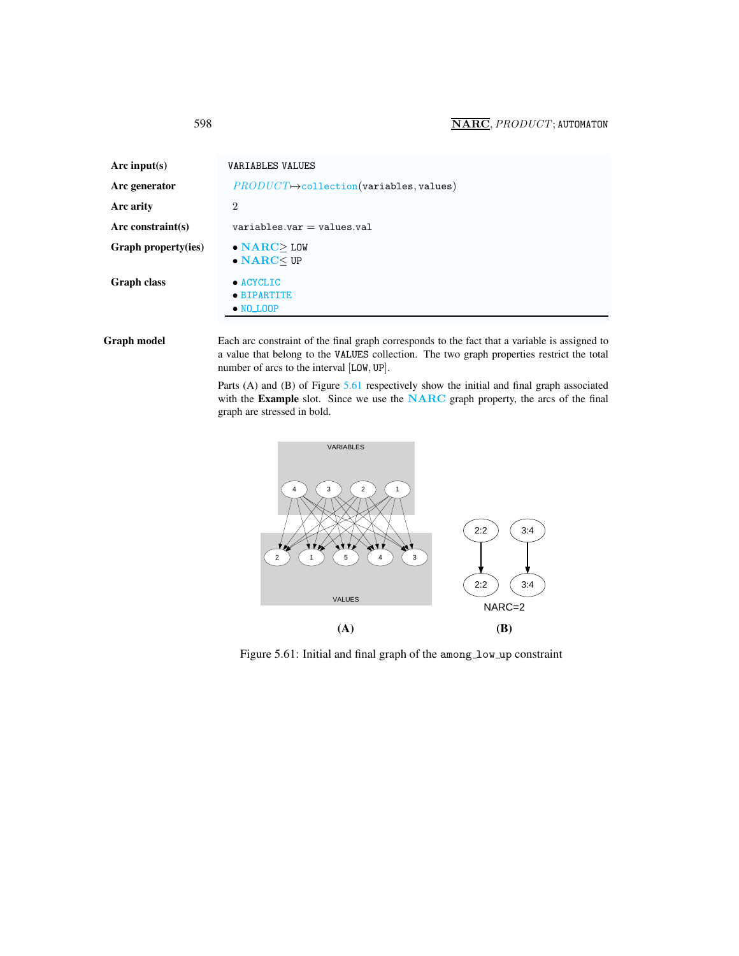<span id="page-2-0"></span>

| Arc input(s)        | <b>VARIABLES VALUES</b>                               |
|---------------------|-------------------------------------------------------|
| Arc generator       | $PRODUCT \rightarrow collection(variables, values)$   |
| Arc arity           | $\overline{2}$                                        |
| Arc constraint(s)   | $variable s.var = values.val$                         |
| Graph property(ies) | $\bullet$ NARC $>$ LOW<br>$\bullet$ NARC $<$ UP       |
| <b>Graph class</b>  | $\bullet$ ACYCLIC<br>• BIPARTITE<br>$\bullet$ NO LOOP |

Graph model Each arc constraint of the final graph corresponds to the fact that a variable is assigned to a value that belong to the VALUES collection. The two graph properties restrict the total number of arcs to the interval [LOW, UP].

> Parts (A) and (B) of Figure [5.61](#page-2-1) respectively show the initial and final graph associated with the Example slot. Since we use the NARC graph property, the arcs of the final graph are stressed in bold.



<span id="page-2-1"></span>Figure 5.61: Initial and final graph of the among low up constraint